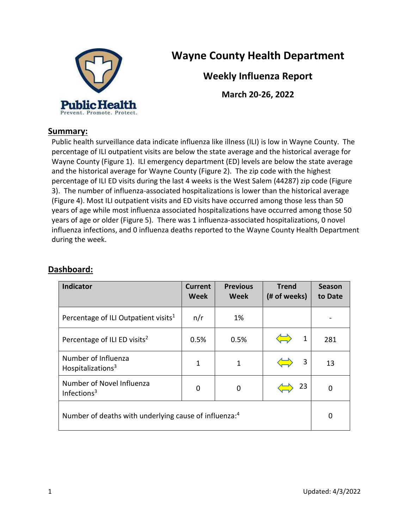

# **Wayne County Health Department**

**Weekly Influenza Report**

**March 20-26, 2022**

#### **Summary:**

Public health surveillance data indicate influenza like illness (ILI) is low in Wayne County. The percentage of ILI outpatient visits are below the state average and the historical average for Wayne County (Figure 1). ILI emergency department (ED) levels are below the state average and the historical average for Wayne County (Figure 2). The zip code with the highest percentage of ILI ED visits during the last 4 weeks is the West Salem (44287) zip code (Figure 3). The number of influenza-associated hospitalizations is lower than the historical average (Figure 4). Most ILI outpatient visits and ED visits have occurred among those less than 50 years of age while most influenza associated hospitalizations have occurred among those 50 years of age or older (Figure 5). There was 1 influenza-associated hospitalizations, 0 novel influenza infections, and 0 influenza deaths reported to the Wayne County Health Department during the week.

| Indicator                                                         | <b>Current</b><br>Week | <b>Previous</b><br>Week | <b>Trend</b><br>(# of weeks) | <b>Season</b><br>to Date |
|-------------------------------------------------------------------|------------------------|-------------------------|------------------------------|--------------------------|
| Percentage of ILI Outpatient visits <sup>1</sup>                  | n/r                    | 1%                      |                              |                          |
| Percentage of ILI ED visits <sup>2</sup>                          | 0.5%                   | 0.5%                    | 1                            | 281                      |
| Number of Influenza<br>Hospitalizations <sup>3</sup>              | 1                      | 1                       | 3                            | 13                       |
| Number of Novel Influenza<br>Infections <sup>3</sup>              | 0                      | 0                       | 23                           | 0                        |
| Number of deaths with underlying cause of influenza: <sup>4</sup> |                        |                         |                              | $\Omega$                 |

## **Dashboard:**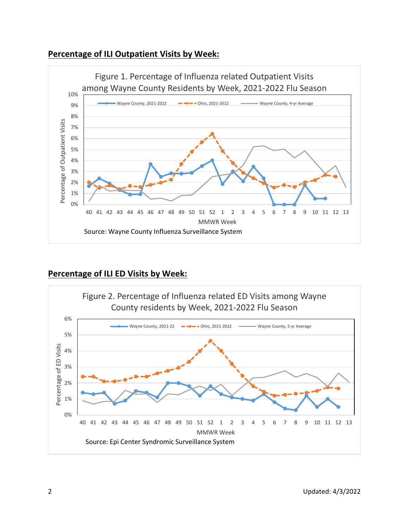#### **Percentage of ILI Outpatient Visits by Week:**



#### **Percentage of ILI ED Visits by Week:**

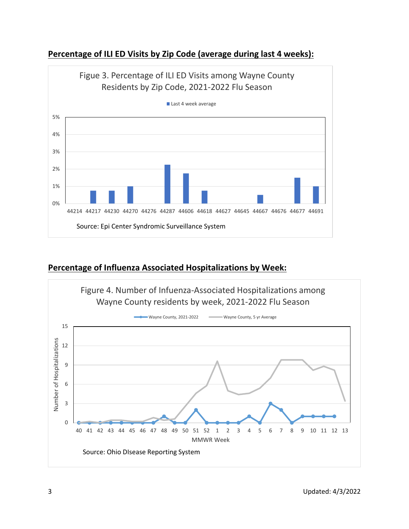

### **Percentage of ILI ED Visits by Zip Code (average during last 4 weeks):**

### **Percentage of Influenza Associated Hospitalizations by Week:**

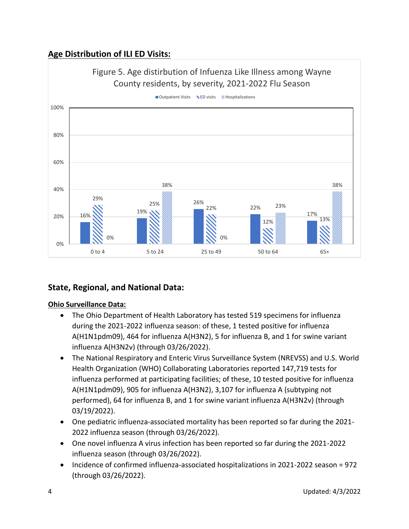## **Age Distribution of ILI ED Visits:**



### **State, Regional, and National Data:**

#### **Ohio Surveillance Data:**

- The Ohio Department of Health Laboratory has tested 519 specimens for influenza during the 2021-2022 influenza season: of these, 1 tested positive for influenza A(H1N1pdm09), 464 for influenza A(H3N2), 5 for influenza B, and 1 for swine variant influenza A(H3N2v) (through 03/26/2022).
- The National Respiratory and Enteric Virus Surveillance System (NREVSS) and U.S. World Health Organization (WHO) Collaborating Laboratories reported 147,719 tests for influenza performed at participating facilities; of these, 10 tested positive for influenza A(H1N1pdm09), 905 for influenza A(H3N2), 3,107 for influenza A (subtyping not performed), 64 for influenza B, and 1 for swine variant influenza A(H3N2v) (through 03/19/2022).
- One pediatric influenza-associated mortality has been reported so far during the 2021- 2022 influenza season (through 03/26/2022).
- One novel influenza A virus infection has been reported so far during the 2021-2022 influenza season (through 03/26/2022).
- Incidence of confirmed influenza-associated hospitalizations in 2021-2022 season = 972 (through 03/26/2022).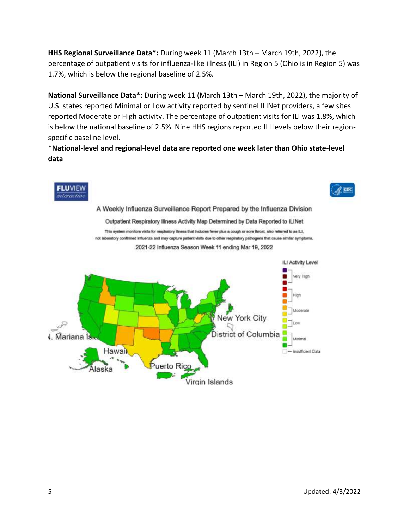**HHS Regional Surveillance Data\*:** During week 11 (March 13th – March 19th, 2022), the percentage of outpatient visits for influenza-like illness (ILI) in Region 5 (Ohio is in Region 5) was 1.7%, which is below the regional baseline of 2.5%.

**National Surveillance Data\*:** During week 11 (March 13th – March 19th, 2022), the majority of U.S. states reported Minimal or Low activity reported by sentinel ILINet providers, a few sites reported Moderate or High activity. The percentage of outpatient visits for ILI was 1.8%, which is below the national baseline of 2.5%. Nine HHS regions reported ILI levels below their regionspecific baseline level.

**\*National-level and regional-level data are reported one week later than Ohio state-level data**